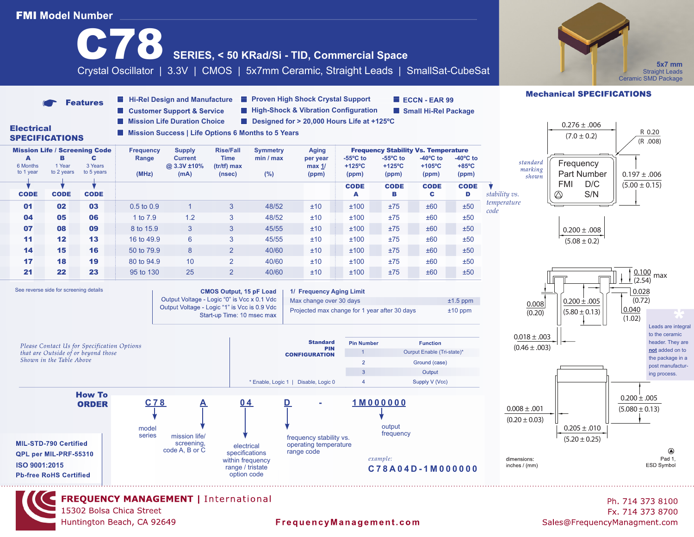### **FMI Model Number** SERIES, < 50 KRad/Si - TID, Commercial Space \*5x7 mm **5x7 mm**  Crystal Oscillator | 3.3V | CMOS | 5x7mm Ceramic, Straight Leads | SmallSat-CubeSat **Straight Leads** (Industry Standard) Ceramic SMD Package Ceramic SMD Package **Mechanical SPECIFICATIONS Hi-Rel Design and Manufacture**  Proven High Shock Crystal Support ECCN-EAR 99 **Features High-Shock & Vibration Configuration** Customer Support & Service **Small Hi-Rel Package** ■ Mission Life Duration Choice ■ Designed for > 20,000 Hours Life at +125°C  $0.276 \pm .006$ **Electrical Mission Success | Life Options 6 Months to 5 Years**  $(7.0 \pm 0.2)$  R 0.20 SPECIFICATIONS (R .008) Mission Life / Screening Code **Frequency** Supply Rise/Fall Symmetry Aging **Frequency Stability Vs. Temperature**<br>A B C Range Current Time min / max per vear -55°C to -55°C to -40°C to -40°C to AB C **Range Current Time min / max per year -55ºC to -55ºC to -40ºC to -40ºC to**  standard **Frequency** 6 Months 1 Year 3 Years  **@ 3.3V ±10% (tr/tf) max max 1/ +125ºC +125ºC +105ºC +85ºC** marking to 1 year to 2 years to 5 yearsPart Number  $0.197 \pm .006$  **(MHz) (mA) (nsec) (%) (ppm) (ppm) (ppm) (ppm) (ppm)** shown FMI D/C  $(5.00 \pm 0.15)$  CODE CODE CODE CODE S/N *stability vs.*  $\oslash$ CODE CODE CODE A B C D *temperature* **01 02 03** 0.5 to 0.9 1 3 48/52  $\pm 10$   $\pm 100$   $\pm 75$   $\pm 60$   $\pm 50$ *code* **04 05 06** 1 to 7.9 1.2 3 48/52  $\pm 10$   $\pm 100$   $\pm 75$   $\pm 60$   $\pm 50$ **07 08 09** 8 to 15.9 3 3 45/55  $\pm 10$   $\pm 75$   $\pm 60$   $\pm 50$  $0.200 \pm .008$ **11 12 13** 16 to 49.9 6 3 45/55  $\pm 10$   $\pm 100$   $\pm 75$   $\pm 60$   $\pm 50$  $(5.08 \pm 0.2)$ **14 15 16** 50 to 79.9 8 2 40/60  $\pm 10$   $\pm 100$   $\pm 75$   $\pm 60$   $\pm 50$ **17 18 19** 80 to 94.9 10 2 40/60  $\pm 10$   $\pm 100$   $\pm 75$   $\pm 60$   $\pm 50$ 0.100 **21 22 23** 95 to 130 25 2 40/60  $\pm 10$   $\pm 100$   $\pm 75$   $\pm 60$   $\pm 50$ max (2.54) See reverse side for screening details **1/ Frequency Aging Limit CMOS Output, 15 pF Load** 0.028 Output Voltage - Logic "0" is Vcc x 0.1 Vdc Max change over 30 days  $\pm 1.5$  ppm  $0.200 \pm .005$ (0.72) 0.008 Output Voltage - Logic "1" is Vcc is 0.9 Vdc 0.040 Projected max change for 1 year after 30 days  $\pm$ 10 ppm Leads are integral<br>to the ceramic  $(5.80 \pm 0.13)$ (0.20) Start-up Time: 10 msec max  $(1.02)$ to the ceramic  $0.018 \pm .003$ header. They are **Standard Pin Number Function** Please Contact Us for Specification Options  $(0.46 \pm .003)$ PIN **not** added on to that are Outside of or beyond those Ourput Enable (Tri-state)\* **CONFIGURATION** the package in a Shown in the Table Above  $\overline{2}$ Ground (case) post manufactur- $\overline{3}$ Output ing process.  $\overline{A}$ Supply V (Vcc) \* Enable, Logic 1 | Disable, Logic 0





Ph. 714 373 8100 Fx. 714 373 8700 Sales@FrequencyManagment.com

 $0.200 \pm .005$  $(5.080 \pm 0.13)$ 

 $\circledR$ 

Pad 1,

ESD Symbol

 $0.205 \pm .010$  $(5.20 \pm 0.25)$ 

FrequencyManagement.com